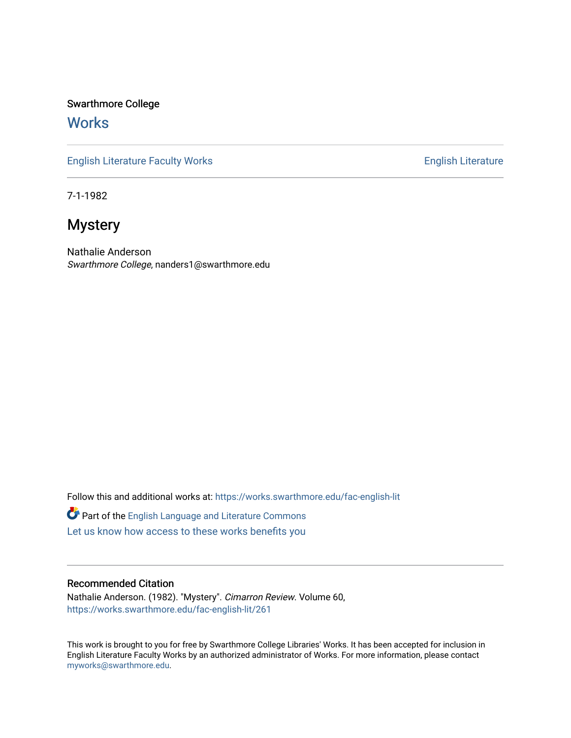Swarthmore College

## **Works**

[English Literature Faculty Works](https://works.swarthmore.edu/fac-english-lit) **English Literature** English Literature

7-1-1982

## **Mystery**

Nathalie Anderson Swarthmore College, nanders1@swarthmore.edu

Follow this and additional works at: [https://works.swarthmore.edu/fac-english-lit](https://works.swarthmore.edu/fac-english-lit?utm_source=works.swarthmore.edu%2Ffac-english-lit%2F261&utm_medium=PDF&utm_campaign=PDFCoverPages)

Part of the [English Language and Literature Commons](http://network.bepress.com/hgg/discipline/455?utm_source=works.swarthmore.edu%2Ffac-english-lit%2F261&utm_medium=PDF&utm_campaign=PDFCoverPages) [Let us know how access to these works benefits you](https://forms.gle/4MB8mE2GywC5965J8) 

### Recommended Citation

Nathalie Anderson. (1982). "Mystery". Cimarron Review. Volume 60, <https://works.swarthmore.edu/fac-english-lit/261>

This work is brought to you for free by Swarthmore College Libraries' Works. It has been accepted for inclusion in English Literature Faculty Works by an authorized administrator of Works. For more information, please contact [myworks@swarthmore.edu.](mailto:myworks@swarthmore.edu)